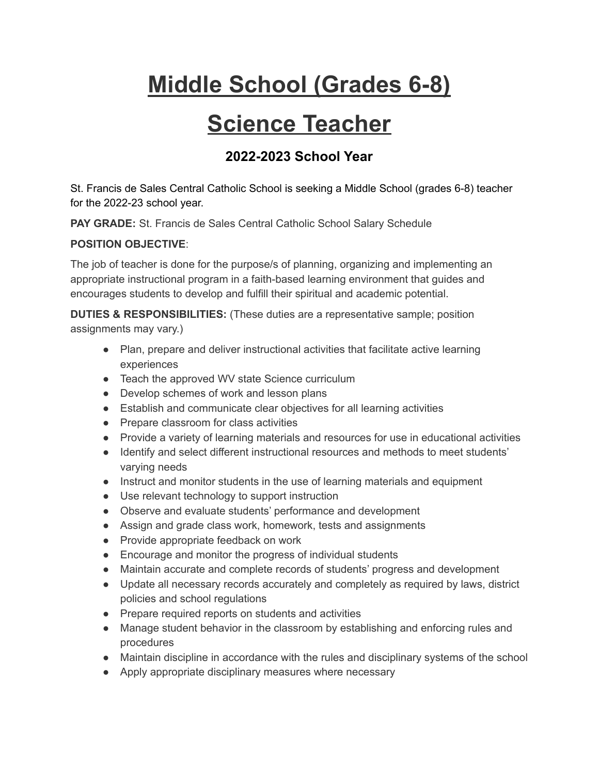# **Middle School (Grades 6-8)**

## **Science Teacher**

### **2022-2023 School Year**

St. Francis de Sales Central Catholic School is seeking a Middle School (grades 6-8) teacher for the 2022-23 school year.

**PAY GRADE:** St. Francis de Sales Central Catholic School Salary Schedule

#### **POSITION OBJECTIVE**:

The job of teacher is done for the purpose/s of planning, organizing and implementing an appropriate instructional program in a faith-based learning environment that guides and encourages students to develop and fulfill their spiritual and academic potential.

**DUTIES & RESPONSIBILITIES:** (These duties are a representative sample; position assignments may vary.)

- Plan, prepare and deliver instructional activities that facilitate active learning experiences
- Teach the approved WV state Science curriculum
- Develop schemes of work and lesson plans
- Establish and communicate clear objectives for all learning activities
- Prepare classroom for class activities
- Provide a variety of learning materials and resources for use in educational activities
- Identify and select different instructional resources and methods to meet students' varying needs
- Instruct and monitor students in the use of learning materials and equipment
- Use relevant technology to support instruction
- Observe and evaluate students' performance and development
- Assign and grade class work, homework, tests and assignments
- Provide appropriate feedback on work
- Encourage and monitor the progress of individual students
- Maintain accurate and complete records of students' progress and development
- Update all necessary records accurately and completely as required by laws, district policies and school regulations
- Prepare required reports on students and activities
- Manage student behavior in the classroom by establishing and enforcing rules and procedures
- Maintain discipline in accordance with the rules and disciplinary systems of the school
- Apply appropriate disciplinary measures where necessary